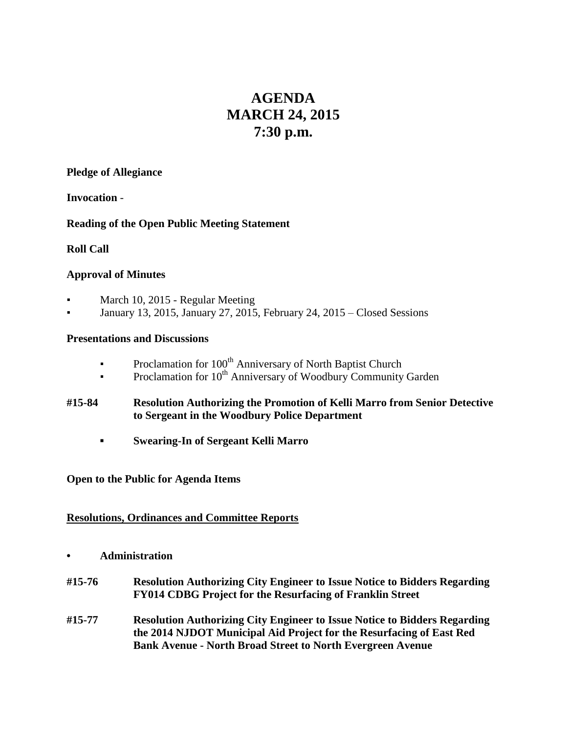# **AGENDA MARCH 24, 2015 7:30 p.m.**

#### **Pledge of Allegiance**

**Invocation** -

### **Reading of the Open Public Meeting Statement**

## **Roll Call**

### **Approval of Minutes**

- March 10, 2015 Regular Meeting
- January 13, 2015, January 27, 2015, February 24, 2015 Closed Sessions

#### **Presentations and Discussions**

- **•** Proclamation for 100<sup>th</sup> Anniversary of North Baptist Church
- **•** Proclamation for  $10^{th}$  Anniversary of Woodbury Community Garden

### **#15-84 Resolution Authorizing the Promotion of Kelli Marro from Senior Detective to Sergeant in the Woodbury Police Department**

**▪ Swearing-In of Sergeant Kelli Marro**

### **Open to the Public for Agenda Items**

### **Resolutions, Ordinances and Committee Reports**

- **• Administration**
- **#15-76 Resolution Authorizing City Engineer to Issue Notice to Bidders Regarding FY014 CDBG Project for the Resurfacing of Franklin Street**
- **#15-77 Resolution Authorizing City Engineer to Issue Notice to Bidders Regarding the 2014 NJDOT Municipal Aid Project for the Resurfacing of East Red Bank Avenue - North Broad Street to North Evergreen Avenue**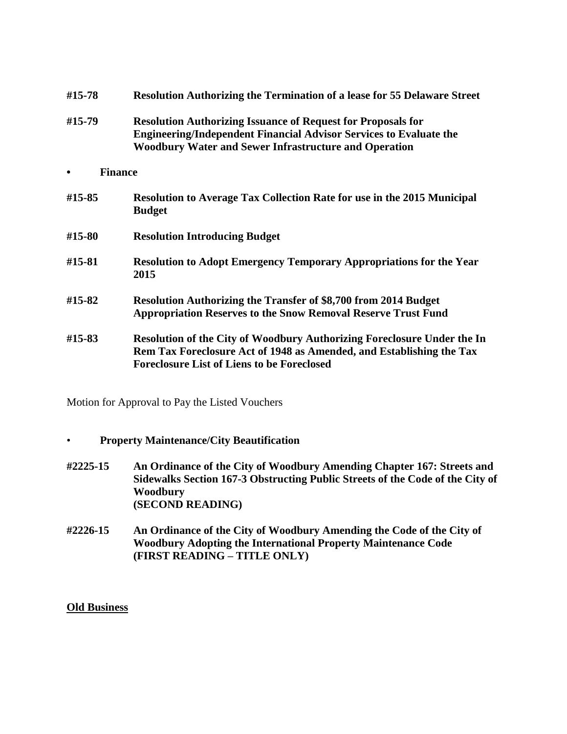| #15-78         | <b>Resolution Authorizing the Termination of a lease for 55 Delaware Street</b>                                                                                                                                  |
|----------------|------------------------------------------------------------------------------------------------------------------------------------------------------------------------------------------------------------------|
| #15-79         | <b>Resolution Authorizing Issuance of Request for Proposals for</b><br><b>Engineering/Independent Financial Advisor Services to Evaluate the</b><br><b>Woodbury Water and Sewer Infrastructure and Operation</b> |
| <b>Finance</b> |                                                                                                                                                                                                                  |
| #15-85         | <b>Resolution to Average Tax Collection Rate for use in the 2015 Municipal</b><br><b>Budget</b>                                                                                                                  |
| #15-80         | <b>Resolution Introducing Budget</b>                                                                                                                                                                             |
| #15-81         | <b>Resolution to Adopt Emergency Temporary Appropriations for the Year</b><br>2015                                                                                                                               |
| #15-82         | <b>Resolution Authorizing the Transfer of \$8,700 from 2014 Budget</b><br><b>Appropriation Reserves to the Snow Removal Reserve Trust Fund</b>                                                                   |
| #15-83         | Resolution of the City of Woodbury Authorizing Foreclosure Under the In<br>Rem Tax Foreclosure Act of 1948 as Amended, and Establishing the Tax<br><b>Foreclosure List of Liens to be Foreclosed</b>             |

Motion for Approval to Pay the Listed Vouchers

- **Property Maintenance/City Beautification**
- **#2225-15 An Ordinance of the City of Woodbury Amending Chapter 167: Streets and Sidewalks Section 167-3 Obstructing Public Streets of the Code of the City of Woodbury (SECOND READING)**
- **#2226-15 An Ordinance of the City of Woodbury Amending the Code of the City of Woodbury Adopting the International Property Maintenance Code (FIRST READING – TITLE ONLY)**

#### **Old Business**